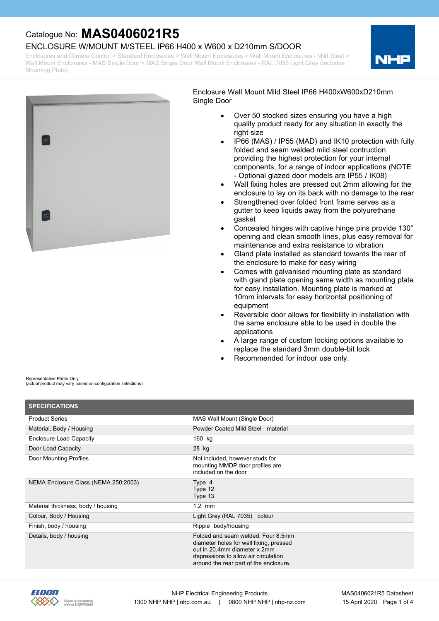#### ENCLOSURE W/MOUNT M/STEEL IP66 H400 x W600 x D210mm S/DOOR

Enclosures and Climate Control > Standard Enclosures > Wall Mount Enclosures > Wall Mount Enclosures - Mild Steel > Wall Mount Enclosures - MAS Single Door > MAS Single Door Wall Mount Enclosures - RAL 7035 Light Grey (Includes Mounting Plate)





Enclosure Wall Mount Mild Steel IP66 H400xW600xD210mm Single Door

- Over 50 stocked sizes ensuring you have a high quality product ready for any situation in exactly the right size
- · IP66 (MAS) / IP55 (MAD) and IK10 protection with fully folded and seam welded mild steel contruction providing the highest protection for your internal components, for a range of indoor applications (NOTE - Optional glazed door models are IP55 / IK08)
- · Wall fixing holes are pressed out 2mm allowing for the enclosure to lay on its back with no damage to the rear
- Strengthened over folded front frame serves as a gutter to keep liquids away from the polyurethane gasket
- · Concealed hinges with captive hinge pins provide 130° opening and clean smooth lines, plus easy removal for maintenance and extra resistance to vibration
- Gland plate installed as standard towards the rear of the enclosure to make for easy wiring
- Comes with galvanised mounting plate as standard with gland plate opening same width as mounting plate for easy installation. Mounting plate is marked at 10mm intervals for easy horizontal positioning of equipment
- Reversible door allows for flexibility in installation with the same enclosure able to be used in double the applications
- A large range of custom locking options available to replace the standard 3mm double-bit lock
- Recommended for indoor use only.

Representative Photo Only (actual product may vary based on configuration selections)

| <b>SPECIFICATIONS</b>                |                                                                                                                                                                                                 |
|--------------------------------------|-------------------------------------------------------------------------------------------------------------------------------------------------------------------------------------------------|
| <b>Product Series</b>                | MAS Wall Mount (Single Door)                                                                                                                                                                    |
| Material, Body / Housing             | Powder Coated Mild Steel material                                                                                                                                                               |
| <b>Enclosure Load Capacity</b>       | 160 kg                                                                                                                                                                                          |
| Door Load Capacity                   | 28 kg                                                                                                                                                                                           |
| Door Mounting Profiles               | Not included, however studs for<br>mounting MMDP door profiles are<br>included on the door                                                                                                      |
| NEMA Enclosure Class (NEMA 250:2003) | Type 4<br>Type 12<br>Type 13                                                                                                                                                                    |
| Material thickness, body / housing   | $1.2$ mm                                                                                                                                                                                        |
| Colour, Body / Housing               | Light Grey (RAL 7035) colour                                                                                                                                                                    |
| Finish, body / housing               | Ripple body/housing                                                                                                                                                                             |
| Details, body / housing              | Folded and seam welded. Four 8.5mm<br>diameter holes for wall fixing, pressed<br>out in 20.4mm diameter x 2mm<br>depressions to allow air circulation<br>around the rear part of the enclosure. |

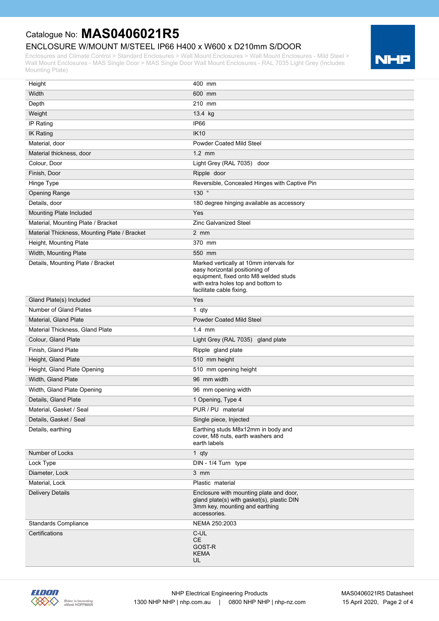### ENCLOSURE W/MOUNT M/STEEL IP66 H400 x W600 x D210mm S/DOOR

Enclosures and Climate Control > Standard Enclosures > Wall Mount Enclosures > Wall Mount Enclosures - Mild Steel > Wall Mount Enclosures - MAS Single Door > MAS Single Door Wall Mount Enclosures - RAL 7035 Light Grey (Includes Mounting Plate)



| Height                                       | 400 mm                                                                       |
|----------------------------------------------|------------------------------------------------------------------------------|
| Width                                        | 600 mm                                                                       |
| Depth                                        | 210 mm                                                                       |
| Weight                                       | 13.4 kg                                                                      |
| IP Rating                                    | IP66                                                                         |
| <b>IK Rating</b>                             | <b>IK10</b>                                                                  |
| Material, door                               | <b>Powder Coated Mild Steel</b>                                              |
| Material thickness, door                     | $1.2$ mm                                                                     |
| Colour, Door                                 | Light Grey (RAL 7035) door                                                   |
| Finish, Door                                 | Ripple door                                                                  |
| Hinge Type                                   | Reversible, Concealed Hinges with Captive Pin                                |
| <b>Opening Range</b>                         | 130°                                                                         |
| Details, door                                | 180 degree hinging available as accessory                                    |
| Mounting Plate Included                      | Yes                                                                          |
| Material, Mounting Plate / Bracket           | <b>Zinc Galvanized Steel</b>                                                 |
| Material Thickness, Mounting Plate / Bracket | $2 \, \text{mm}$                                                             |
| Height, Mounting Plate                       | 370 mm                                                                       |
| Width, Mounting Plate                        | 550 mm                                                                       |
| Details, Mounting Plate / Bracket            | Marked vertically at 10mm intervals for                                      |
|                                              | easy horizontal positioning of<br>equipment, fixed onto M8 welded studs      |
|                                              | with extra holes top and bottom to                                           |
|                                              | facilitate cable fixing.                                                     |
| Gland Plate(s) Included                      | Yes                                                                          |
| <b>Number of Gland Plates</b>                | 1 qty                                                                        |
| Material, Gland Plate                        | <b>Powder Coated Mild Steel</b>                                              |
| Material Thickness, Gland Plate              | $1.4$ mm                                                                     |
| Colour, Gland Plate                          | Light Grey (RAL 7035) gland plate                                            |
| Finish, Gland Plate                          | Ripple gland plate                                                           |
| Height, Gland Plate                          | 510 mm height                                                                |
| Height, Gland Plate Opening                  | 510 mm opening height                                                        |
| Width, Gland Plate                           | 96 mm width                                                                  |
| Width, Gland Plate Opening                   | 96 mm opening width                                                          |
| Details, Gland Plate                         | 1 Opening, Type 4                                                            |
| Material, Gasket / Seal                      | PUR / PU material                                                            |
| Details, Gasket / Seal                       | Single piece, Injected                                                       |
| Details, earthing                            | Earthing studs M8x12mm in body and<br>cover, M8 nuts, earth washers and      |
|                                              | earth labels                                                                 |
| Number of Locks                              | 1 $qty$                                                                      |
| Lock Type                                    | DIN - 1/4 Turn type                                                          |
| Diameter, Lock                               | 3 mm                                                                         |
| Material, Lock                               | Plastic material                                                             |
| <b>Delivery Details</b>                      | Enclosure with mounting plate and door,                                      |
|                                              | gland plate(s) with gasket(s), plastic DIN<br>3mm key, mounting and earthing |
|                                              | accessories.                                                                 |
| <b>Standards Compliance</b>                  | NEMA 250:2003                                                                |
| Certifications                               | C-UL                                                                         |
|                                              | CE                                                                           |
|                                              | GOST-R<br><b>KEMA</b>                                                        |
|                                              | UL                                                                           |

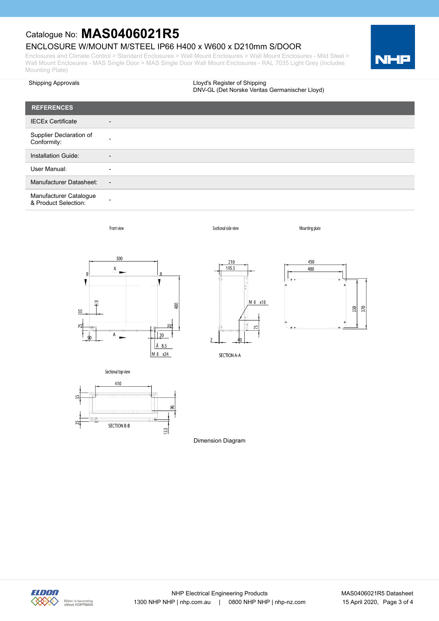## ENCLOSURE W/MOUNT M/STEEL IP66 H400 x W600 x D210mm S/DOOR

Enclosures and Climate Control > Standard Enclosures > Wall Mount Enclosures > Wall Mount Enclosures - Mild Steel > Wall Mount Enclosures - MAS Single Door > MAS Single Door Wall Mount Enclosures - RAL 7035 Light Grey (Includes Mounting Plate)



| <b>Shipping Approvals</b>                      |                | Lloyd's Register of Shipping<br>DNV-GL (Det Norske Veritas Germanischer Lloyd) |
|------------------------------------------------|----------------|--------------------------------------------------------------------------------|
| <b>REFERENCES</b>                              |                |                                                                                |
| <b>IECEx Certificate</b>                       |                |                                                                                |
| Supplier Declaration of<br>Conformity:         |                |                                                                                |
| Installation Guide:                            |                |                                                                                |
| User Manual:                                   |                |                                                                                |
| <b>Manufacturer Datasheet:</b>                 | $\overline{a}$ |                                                                                |
| Manufacturer Catalogue<br>& Product Selection: |                |                                                                                |

Sectional side view

Front view







Mounting plate







Sectional top view

Dimension Diagram